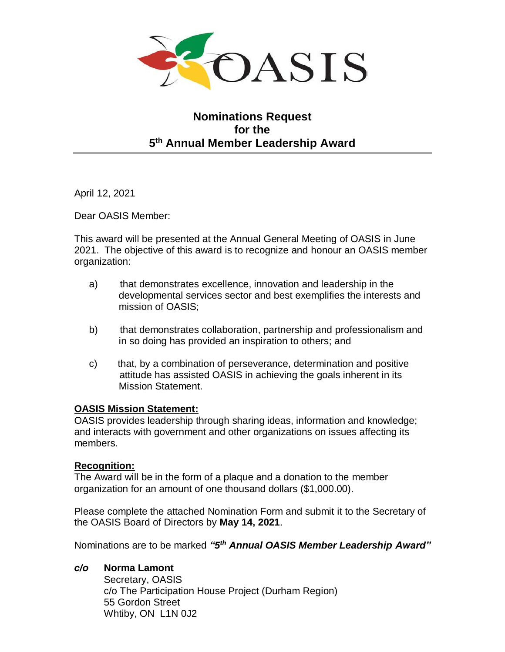

# **Nominations Request for the 5 th Annual Member Leadership Award**

April 12, 2021

Dear OASIS Member:

This award will be presented at the Annual General Meeting of OASIS in June 2021. The objective of this award is to recognize and honour an OASIS member organization:

- a) that demonstrates excellence, innovation and leadership in the developmental services sector and best exemplifies the interests and mission of OASIS;
- b) that demonstrates collaboration, partnership and professionalism and in so doing has provided an inspiration to others; and
- c) that, by a combination of perseverance, determination and positive attitude has assisted OASIS in achieving the goals inherent in its Mission Statement.

# **OASIS Mission Statement:**

OASIS provides leadership through sharing ideas, information and knowledge; and interacts with government and other organizations on issues affecting its members.

### **Recognition:**

The Award will be in the form of a plaque and a donation to the member organization for an amount of one thousand dollars (\$1,000.00).

Please complete the attached Nomination Form and submit it to the Secretary of the OASIS Board of Directors by **May 14, 2021**.

Nominations are to be marked *"5 th Annual OASIS Member Leadership Award"*

# *c/o* **Norma Lamont**

Secretary, OASIS c/o The Participation House Project (Durham Region) 55 Gordon Street Whtiby, ON L1N 0J2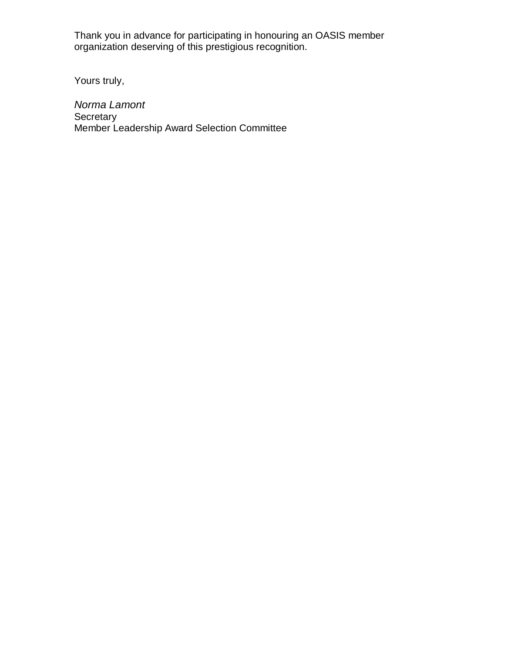Thank you in advance for participating in honouring an OASIS member organization deserving of this prestigious recognition.

Yours truly,

*Norma Lamont* Secretary Member Leadership Award Selection Committee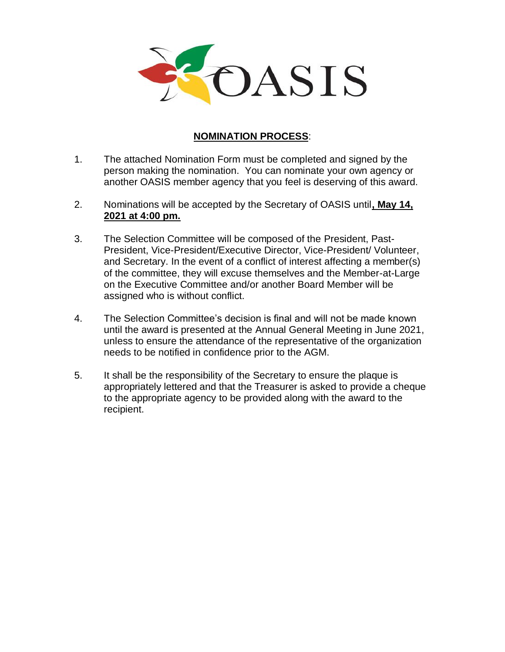

## **NOMINATION PROCESS**:

- 1. The attached Nomination Form must be completed and signed by the person making the nomination. You can nominate your own agency or another OASIS member agency that you feel is deserving of this award.
- 2. Nominations will be accepted by the Secretary of OASIS until**, May 14, 2021 at 4:00 pm.**
- 3. The Selection Committee will be composed of the President, Past-President, Vice-President/Executive Director, Vice-President/ Volunteer, and Secretary. In the event of a conflict of interest affecting a member(s) of the committee, they will excuse themselves and the Member-at-Large on the Executive Committee and/or another Board Member will be assigned who is without conflict.
- 4. The Selection Committee's decision is final and will not be made known until the award is presented at the Annual General Meeting in June 2021, unless to ensure the attendance of the representative of the organization needs to be notified in confidence prior to the AGM.
- 5. It shall be the responsibility of the Secretary to ensure the plaque is appropriately lettered and that the Treasurer is asked to provide a cheque to the appropriate agency to be provided along with the award to the recipient.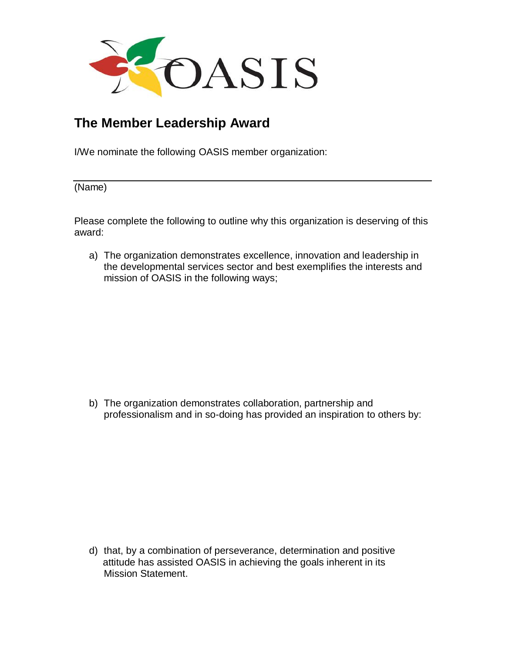

# **The Member Leadership Award**

I/We nominate the following OASIS member organization:

(Name)

Please complete the following to outline why this organization is deserving of this award:

a) The organization demonstrates excellence, innovation and leadership in the developmental services sector and best exemplifies the interests and mission of OASIS in the following ways;

b) The organization demonstrates collaboration, partnership and professionalism and in so-doing has provided an inspiration to others by:

d) that, by a combination of perseverance, determination and positive attitude has assisted OASIS in achieving the goals inherent in its Mission Statement.